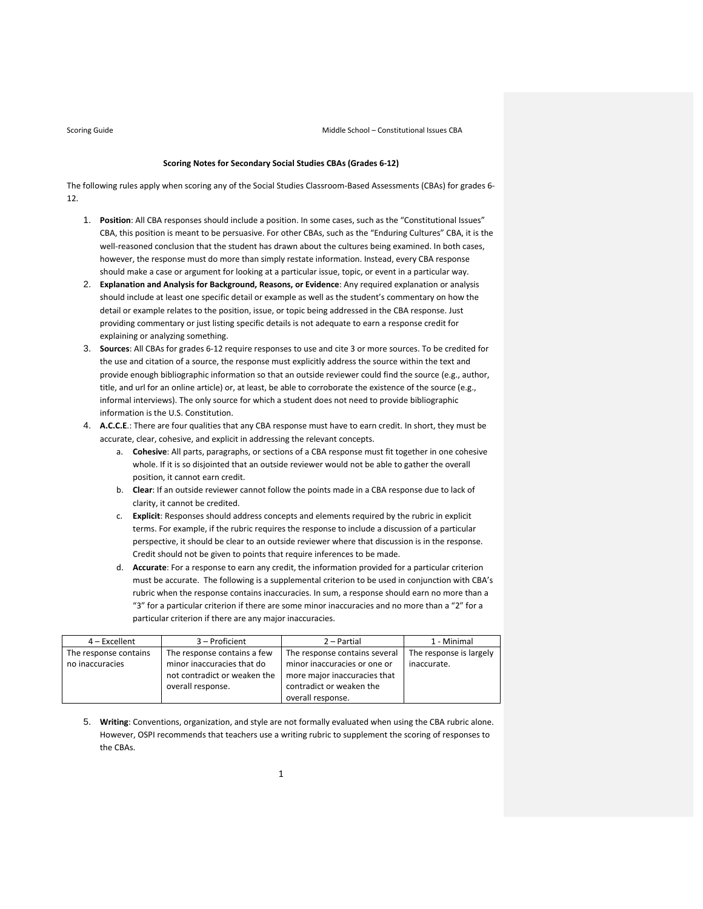Scoring Guide **School – Constitutional Issues CBA Middle School – Constitutional Issues CBA** 

### **Scoring Notes for Secondary Social Studies CBAs (Grades 6‐12)**

The following rules apply when scoring any of the Social Studies Classroom-Based Assessments (CBAs) for grades 6-12.

- 1. **Position**: All CBA responses should include a position. In some cases, such as the "Constitutional Issues" CBA, this position is meant to be persuasive. For other CBAs, such as the "Enduring Cultures" CBA, it is the well-reasoned conclusion that the student has drawn about the cultures being examined. In both cases, however, the response must do more than simply restate information. Instead, every CBA response should make a case or argument for looking at a particular issue, topic, or event in a particular way.
- 2. **Explanation and Analysis for Background, Reasons, or Evidence**: Any required explanation or analysis should include at least one specific detail or example as well as the student's commentary on how the detail or example relates to the position, issue, or topic being addressed in the CBA response. Just providing commentary or just listing specific details is not adequate to earn a response credit for explaining or analyzing something.
- 3. **Sources**: All CBAs for grades 6‐12 require responses to use and cite 3 or more sources. To be credited for the use and citation of a source, the response must explicitly address the source within the text and provide enough bibliographic information so that an outside reviewer could find the source (e.g., author, title, and url for an online article) or, at least, be able to corroborate the existence of the source (e.g., informal interviews). The only source for which a student does not need to provide bibliographic information is the U.S. Constitution.
- 4. **A.C.C.E**.: There are four qualities that any CBA response must have to earn credit. In short, they must be accurate, clear, cohesive, and explicit in addressing the relevant concepts.
	- a. **Cohesive**: All parts, paragraphs, or sections of a CBA response must fit together in one cohesive whole. If it is so disjointed that an outside reviewer would not be able to gather the overall position, it cannot earn credit.
	- b. **Clear**: If an outside reviewer cannot follow the points made in a CBA response due to lack of clarity, it cannot be credited.
	- c. **Explicit**: Responses should address concepts and elements required by the rubric in explicit terms. For example, if the rubric requires the response to include a discussion of a particular perspective, it should be clear to an outside reviewer where that discussion is in the response. Credit should not be given to points that require inferences to be made.
	- d. **Accurate**: For a response to earn any credit, the information provided for a particular criterion must be accurate. The following is a supplemental criterion to be used in conjunction with CBA's rubric when the response contains inaccuracies. In sum, a response should earn no more than a "3" for a particular criterion if there are some minor inaccuracies and no more than a "2" for a particular criterion if there are any major inaccuracies.

| 4 – Excellent         | 3 – Proficient               | 2 - Partial                   | 1 - Minimal             |
|-----------------------|------------------------------|-------------------------------|-------------------------|
| The response contains | The response contains a few  | The response contains several | The response is largely |
| no inaccuracies       | minor inaccuracies that do   | minor inaccuracies or one or  | inaccurate.             |
|                       | not contradict or weaken the | more major inaccuracies that  |                         |
|                       | overall response.            | contradict or weaken the      |                         |
|                       |                              | overall response.             |                         |

5. **Writing**: Conventions, organization, and style are not formally evaluated when using the CBA rubric alone. However, OSPI recommends that teachers use a writing rubric to supplement the scoring of responses to the CBAs.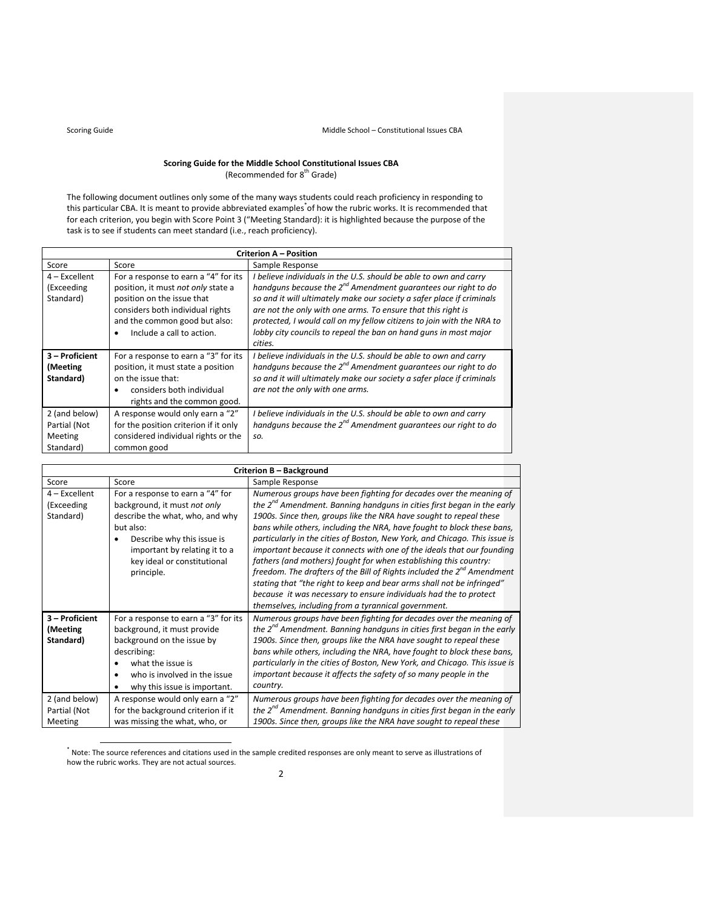# **Scoring Guide for the Middle School Constitutional Issues CBA** (Recommended for 8<sup>th</sup> Grade)

The following document outlines only some of the many ways students could reach proficiency in responding to this particular CBA. It is meant to provide abbreviated examples<sup>\*</sup>of how the rubric works. It is recommended that for each criterion, you begin with Score Point 3 ("Meeting Standard): it is highlighted because the purpose of the task is to see if students can meet standard (i.e., reach proficiency).

| <b>Criterion A - Position</b>                         |                                                                                                                                                                                                            |                                                                                                                                                                                                                                                                                                                                                                                                                                          |  |  |  |  |
|-------------------------------------------------------|------------------------------------------------------------------------------------------------------------------------------------------------------------------------------------------------------------|------------------------------------------------------------------------------------------------------------------------------------------------------------------------------------------------------------------------------------------------------------------------------------------------------------------------------------------------------------------------------------------------------------------------------------------|--|--|--|--|
| Score                                                 | Score                                                                                                                                                                                                      | Sample Response                                                                                                                                                                                                                                                                                                                                                                                                                          |  |  |  |  |
| $4$ – Excellent<br>(Exceeding<br>Standard)            | For a response to earn a "4" for its<br>position, it must not only state a<br>position on the issue that<br>considers both individual rights<br>and the common good but also:<br>Include a call to action. | I believe individuals in the U.S. should be able to own and carry<br>handguns because the $2^{nd}$ Amendment guarantees our right to do<br>so and it will ultimately make our society a safer place if criminals<br>are not the only with one arms. To ensure that this right is<br>protected, I would call on my fellow citizens to join with the NRA to<br>lobby city councils to repeal the ban on hand guns in most major<br>cities. |  |  |  |  |
| 3 - Proficient<br>(Meeting<br>Standard)               | For a response to earn a "3" for its<br>position, it must state a position<br>on the issue that:<br>considers both individual<br>٠<br>rights and the common good.                                          | I believe individuals in the U.S. should be able to own and carry<br>handguns because the $2^{nd}$ Amendment guarantees our right to do<br>so and it will ultimately make our society a safer place if criminals<br>are not the only with one arms.                                                                                                                                                                                      |  |  |  |  |
| 2 (and below)<br>Partial (Not<br>Meeting<br>Standard) | A response would only earn a "2"<br>for the position criterion if it only<br>considered individual rights or the<br>common good                                                                            | I believe individuals in the U.S. should be able to own and carry<br>handguns because the $2^{nd}$ Amendment guarantees our right to do<br>SO.                                                                                                                                                                                                                                                                                           |  |  |  |  |

|                                            | Criterion B - Background                                                                                                                                                                                                     |                                                                                                                                                                                                                                                                                                                                                                                                                                                                                                                                                                                                                                                                                                                                                                                                                          |  |  |  |  |
|--------------------------------------------|------------------------------------------------------------------------------------------------------------------------------------------------------------------------------------------------------------------------------|--------------------------------------------------------------------------------------------------------------------------------------------------------------------------------------------------------------------------------------------------------------------------------------------------------------------------------------------------------------------------------------------------------------------------------------------------------------------------------------------------------------------------------------------------------------------------------------------------------------------------------------------------------------------------------------------------------------------------------------------------------------------------------------------------------------------------|--|--|--|--|
| Score                                      | Score                                                                                                                                                                                                                        | Sample Response                                                                                                                                                                                                                                                                                                                                                                                                                                                                                                                                                                                                                                                                                                                                                                                                          |  |  |  |  |
| $4$ – Excellent<br>(Exceeding<br>Standard) | For a response to earn a "4" for<br>background, it must not only<br>describe the what, who, and why<br>but also:<br>Describe why this issue is<br>important by relating it to a<br>key ideal or constitutional<br>principle. | Numerous groups have been fighting for decades over the meaning of<br>the $2^{nd}$ Amendment. Banning handguns in cities first began in the early<br>1900s. Since then, groups like the NRA have sought to repeal these<br>bans while others, including the NRA, have fought to block these bans,<br>particularly in the cities of Boston, New York, and Chicago. This issue is<br>important because it connects with one of the ideals that our founding<br>fathers (and mothers) fought for when establishing this country:<br>freedom. The drafters of the Bill of Rights included the 2 <sup>nd</sup> Amendment<br>stating that "the right to keep and bear arms shall not be infringed"<br>because it was necessary to ensure individuals had the to protect<br>themselves, including from a tyrannical government. |  |  |  |  |
| 3 - Proficient<br>(Meeting<br>Standard)    | For a response to earn a "3" for its<br>background, it must provide<br>background on the issue by<br>describing:<br>what the issue is<br>who is involved in the issue<br>why this issue is important.                        | Numerous groups have been fighting for decades over the meaning of<br>the $2^{nd}$ Amendment. Banning handguns in cities first began in the early<br>1900s. Since then, groups like the NRA have sought to repeal these<br>bans while others, including the NRA, have fought to block these bans,<br>particularly in the cities of Boston, New York, and Chicago. This issue is<br>important because it affects the safety of so many people in the<br>country.                                                                                                                                                                                                                                                                                                                                                          |  |  |  |  |
| 2 (and below)<br>Partial (Not<br>Meeting   | A response would only earn a "2"<br>for the background criterion if it<br>was missing the what, who, or                                                                                                                      | Numerous groups have been fighting for decades over the meaning of<br>the $2^{na}$ Amendment. Banning handguns in cities first began in the early<br>1900s. Since then, groups like the NRA have sought to repeal these                                                                                                                                                                                                                                                                                                                                                                                                                                                                                                                                                                                                  |  |  |  |  |

 \* Note: The source references and citations used in the sample credited responses are only meant to serve as illustrations of how the rubric works. They are not actual sources.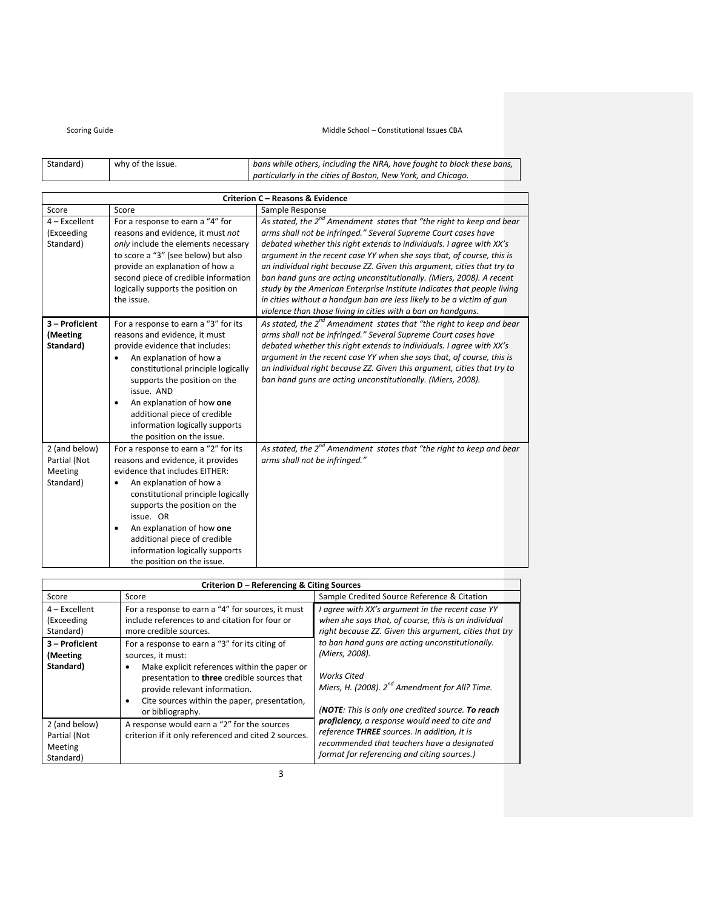Middle School – Constitutional Issues CBA

| Standard) | why of the issue. | bans while others, including the NRA, have fought to block these bans, |
|-----------|-------------------|------------------------------------------------------------------------|
|           |                   | particularly in the cities of Boston, New York, and Chicago.           |

|                                                       | <b>Criterion C - Reasons &amp; Evidence</b>                                                                                                                                                                                                                                                                                                                         |                                                                                                                                                                                                                                                                                                                                                                                                                                                                                                                                                                                                                                                                     |  |  |  |
|-------------------------------------------------------|---------------------------------------------------------------------------------------------------------------------------------------------------------------------------------------------------------------------------------------------------------------------------------------------------------------------------------------------------------------------|---------------------------------------------------------------------------------------------------------------------------------------------------------------------------------------------------------------------------------------------------------------------------------------------------------------------------------------------------------------------------------------------------------------------------------------------------------------------------------------------------------------------------------------------------------------------------------------------------------------------------------------------------------------------|--|--|--|
| Score                                                 | Score                                                                                                                                                                                                                                                                                                                                                               | Sample Response                                                                                                                                                                                                                                                                                                                                                                                                                                                                                                                                                                                                                                                     |  |  |  |
| $4$ – Excellent<br>(Exceeding<br>Standard)            | For a response to earn a "4" for<br>reasons and evidence, it must not<br>only include the elements necessary<br>to score a "3" (see below) but also<br>provide an explanation of how a<br>second piece of credible information<br>logically supports the position on<br>the issue.                                                                                  | As stated, the $2^{nd}$ Amendment states that "the right to keep and bear<br>arms shall not be infringed." Several Supreme Court cases have<br>debated whether this right extends to individuals. I agree with XX's<br>argument in the recent case YY when she says that, of course, this is<br>an individual right because ZZ. Given this argument, cities that try to<br>ban hand quns are acting unconstitutionally. (Miers, 2008). A recent<br>study by the American Enterprise Institute indicates that people living<br>in cities without a handgun ban are less likely to be a victim of gun<br>violence than those living in cities with a ban on handguns. |  |  |  |
| 3 - Proficient<br>(Meeting<br>Standard)               | For a response to earn a "3" for its<br>reasons and evidence, it must<br>provide evidence that includes:<br>An explanation of how a<br>constitutional principle logically<br>supports the position on the<br>issue. AND<br>An explanation of how one<br>additional piece of credible<br>information logically supports<br>the position on the issue.                | As stated, the $2^{nd}$ Amendment states that "the right to keep and bear<br>arms shall not be infringed." Several Supreme Court cases have<br>debated whether this right extends to individuals. I agree with XX's<br>argument in the recent case YY when she says that, of course, this is<br>an individual right because ZZ. Given this argument, cities that try to<br>ban hand guns are acting unconstitutionally. (Miers, 2008).                                                                                                                                                                                                                              |  |  |  |
| 2 (and below)<br>Partial (Not<br>Meeting<br>Standard) | For a response to earn a "2" for its<br>reasons and evidence, it provides<br>evidence that includes EITHER:<br>An explanation of how a<br>constitutional principle logically<br>supports the position on the<br>issue. OR<br>An explanation of how one<br>$\bullet$<br>additional piece of credible<br>information logically supports<br>the position on the issue. | As stated, the 2 <sup>nd</sup> Amendment states that "the right to keep and bear<br>arms shall not be infringed."                                                                                                                                                                                                                                                                                                                                                                                                                                                                                                                                                   |  |  |  |

|                                                       | Criterion D - Referencing & Citing Sources                                                                                                                                                                                                                                                        |                                                                                                                                                                                                     |  |  |  |  |
|-------------------------------------------------------|---------------------------------------------------------------------------------------------------------------------------------------------------------------------------------------------------------------------------------------------------------------------------------------------------|-----------------------------------------------------------------------------------------------------------------------------------------------------------------------------------------------------|--|--|--|--|
| Score                                                 | Score                                                                                                                                                                                                                                                                                             | Sample Credited Source Reference & Citation                                                                                                                                                         |  |  |  |  |
| $4$ – Excellent<br>(Exceeding<br>Standard)            | For a response to earn a "4" for sources, it must<br>include references to and citation for four or<br>more credible sources.                                                                                                                                                                     | I agree with XX's argument in the recent case YY<br>when she says that, of course, this is an individual<br>right because ZZ. Given this argument, cities that try                                  |  |  |  |  |
| 3 - Proficient<br>(Meeting)<br>Standard)              | For a response to earn a "3" for its citing of<br>sources, it must:<br>Make explicit references within the paper or<br>$\bullet$<br>presentation to three credible sources that<br>provide relevant information.<br>Cite sources within the paper, presentation,<br>$\bullet$<br>or bibliography. | to ban hand guns are acting unconstitutionally.<br>(Miers, 2008).<br><b>Works Cited</b><br>Miers, H. (2008). $2^{nd}$ Amendment for All? Time.<br>(NOTE: This is only one credited source. To reach |  |  |  |  |
| 2 (and below)<br>Partial (Not<br>Meeting<br>Standard) | A response would earn a "2" for the sources<br>criterion if it only referenced and cited 2 sources.                                                                                                                                                                                               | proficiency, a response would need to cite and<br>reference THREE sources. In addition, it is<br>recommended that teachers have a designated<br>format for referencing and citing sources.)         |  |  |  |  |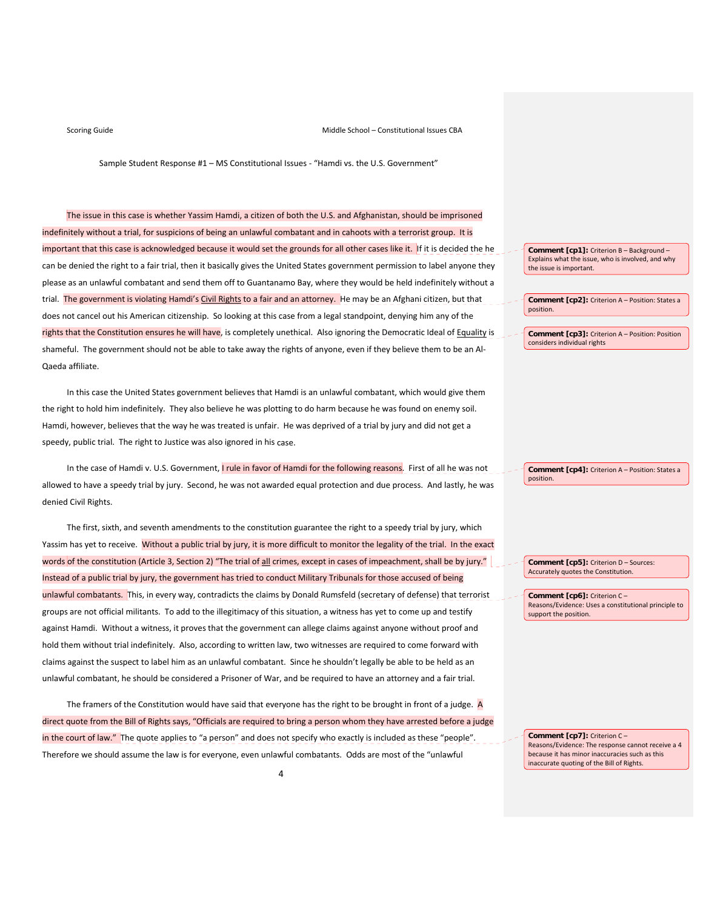Sample Student Response #1 – MS Constitutional Issues ‐ "Hamdi vs. the U.S. Government"

The issue in this case is whether Yassim Hamdi, a citizen of both the U.S. and Afghanistan, should be imprisoned indefinitely without a trial, for suspicions of being an unlawful combatant and in cahoots with a terrorist group. It is important that this case is acknowledged because it would set the grounds for all other cases like it. If it is decided the he can be denied the right to a fair trial, then it basically gives the United States government permission to label anyone they please as an unlawful combatant and send them off to Guantanamo Bay, where they would be held indefinitely without a trial. The government is violating Hamdi's Civil Rights to a fair and an attorney. He may be an Afghani citizen, but that does not cancel out his American citizenship. So looking at this case from a legal standpoint, denying him any of the rights that the Constitution ensures he will have, is completely unethical. Also ignoring the Democratic Ideal of Equality is shameful. The government should not be able to take away the rights of anyone, even if they believe them to be an Al‐ Qaeda affiliate.

In this case the United States government believes that Hamdi is an unlawful combatant, which would give them the right to hold him indefinitely. They also believe he was plotting to do harm because he was found on enemy soil. Hamdi, however, believes that the way he was treated is unfair. He was deprived of a trial by jury and did not get a speedy, public trial. The right to Justice was also ignored in his case.

In the case of Hamdi v. U.S. Government, **I** rule in favor of Hamdi for the following reasons. First of all he was not allowed to have a speedy trial by jury. Second, he was not awarded equal protection and due process. And lastly, he was denied Civil Rights.

The first, sixth, and seventh amendments to the constitution guarantee the right to a speedy trial by jury, which Yassim has yet to receive. Without a public trial by jury, it is more difficult to monitor the legality of the trial. In the exact words of the constitution (Article 3, Section 2) "The trial of all crimes, except in cases of impeachment, shall be by jury." Instead of a public trial by jury, the government has tried to conduct Military Tribunals for those accused of being unlawful combatants. This, in every way, contradicts the claims by Donald Rumsfeld (secretary of defense) that terrorist groups are not official militants. To add to the illegitimacy of this situation, a witness has yet to come up and testify against Hamdi. Without a witness, it proves that the government can allege claims against anyone without proof and hold them without trial indefinitely. Also, according to written law, two witnesses are required to come forward with claims against the suspect to label him as an unlawful combatant. Since he shouldn't legally be able to be held as an unlawful combatant, he should be considered a Prisoner of War, and be required to have an attorney and a fair trial.

The framers of the Constitution would have said that everyone has the right to be brought in front of a judge.  $A$ direct quote from the Bill of Rights says, "Officials are required to bring a person whom they have arrested before a judge in the court of law." The quote applies to "a person" and does not specify who exactly is included as these "people". Therefore we should assume the law is for everyone, even unlawful combatants. Odds are most of the "unlawful

**Comment [cp1]:** Criterion B – Background – Explains what the issue, who is involved, and why the issue is important.

**Comment [cp2]:** Criterion A – Position: States a position.

**Comment [cp3]:** Criterion A – Position: Position considers individual rights

**Comment [cp4]:** Criterion A – Position: States a position.

**Comment [cp5]:** Criterion D – Sources: Accurately quotes the Constitution.

**Comment [cp6]:** Criterion C – Reasons/Evidence: Uses a constitutional principle to support the position.

**Comment [cp7]:** Criterion C – Reasons/Evidence: The response cannot receive a 4 because it has minor inaccuracies such as this inaccurate quoting of the Bill of Rights.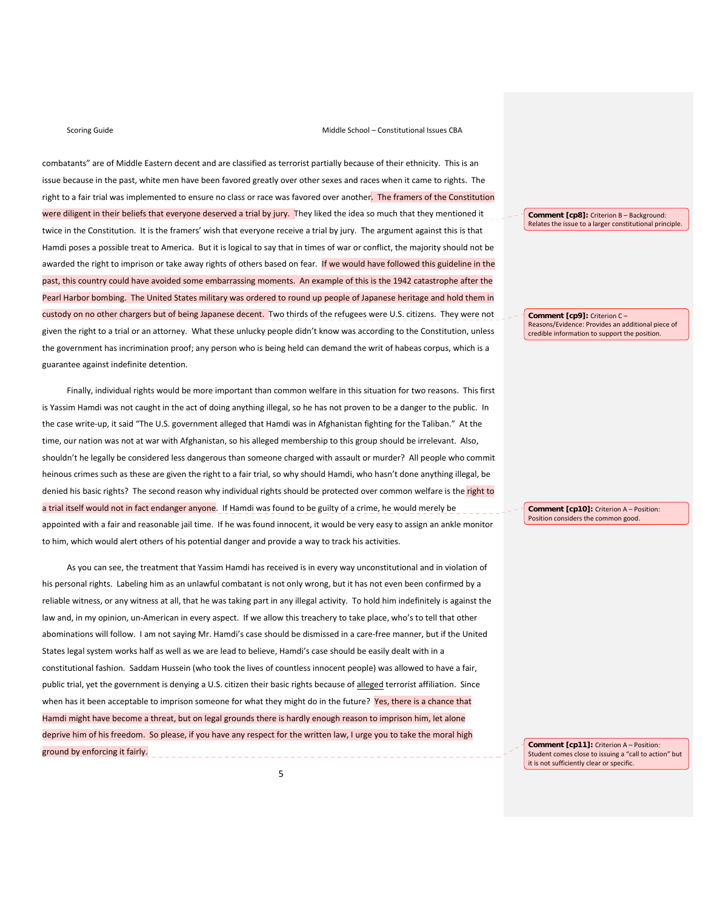combatants" are of Middle Eastern decent and are classified as terrorist partially because of their ethnicity. This is an issue because in the past, white men have been favored greatly over other sexes and races when it came to rights. The right to a fair trial was implemented to ensure no class or race was favored over another. The framers of the Constitution were diligent in their beliefs that everyone deserved a trial by jury. They liked the idea so much that they mentioned it twice in the Constitution. It is the framers' wish that everyone receive a trial by jury. The argument against this is that Hamdi poses a possible treat to America. But it is logical to say that in times of war or conflict, the majority should not be awarded the right to imprison or take away rights of others based on fear. If we would have followed this guideline in the past, this country could have avoided some embarrassing moments. An example of this is the 1942 catastrophe after the Pearl Harbor bombing. The United States military was ordered to round up people of Japanese heritage and hold them in custody on no other chargers but of being Japanese decent. Two thirds of the refugees were U.S. citizens. They were not given the right to a trial or an attorney. What these unlucky people didn't know was according to the Constitution, unless the government has incrimination proof; any person who is being held can demand the writ of habeas corpus, which is a guarantee against indefinite detention.

Finally, individual rights would be more important than common welfare in this situation for two reasons. This first is Yassim Hamdi was not caught in the act of doing anything illegal, so he has not proven to be a danger to the public. In the case write‐up, it said "The U.S. government alleged that Hamdi was in Afghanistan fighting for the Taliban." At the time, our nation was not at war with Afghanistan, so his alleged membership to this group should be irrelevant. Also, shouldn't he legally be considered less dangerous than someone charged with assault or murder? All people who commit heinous crimes such as these are given the right to a fair trial, so why should Hamdi, who hasn't done anything illegal, be denied his basic rights? The second reason why individual rights should be protected over common welfare is the right to a trial itself would not in fact endanger anyone. If Hamdi was found to be guilty of a crime, he would merely be appointed with a fair and reasonable jail time. If he was found innocent, it would be very easy to assign an ankle monitor to him, which would alert others of his potential danger and provide a way to track his activities.

As you can see, the treatment that Yassim Hamdi has received is in every way unconstitutional and in violation of his personal rights. Labeling him as an unlawful combatant is not only wrong, but it has not even been confirmed by a reliable witness, or any witness at all, that he was taking part in any illegal activity. To hold him indefinitely is against the law and, in my opinion, un‐American in every aspect. If we allow this treachery to take place, who's to tell that other abominations will follow. I am not saying Mr. Hamdi's case should be dismissed in a care‐free manner, but if the United States legal system works half as well as we are lead to believe, Hamdi's case should be easily dealt with in a constitutional fashion. Saddam Hussein (who took the lives of countless innocent people) was allowed to have a fair, public trial, yet the government is denying a U.S. citizen their basic rights because of alleged terrorist affiliation. Since when has it been acceptable to imprison someone for what they might do in the future?  $\gamma$ es, there is a chance that Hamdi might have become a threat, but on legal grounds there is hardly enough reason to imprison him, let alone deprive him of his freedom. So please, if you have any respect for the written law, I urge you to take the moral high ground by enforcing it fairly.

**Comment [cp8]:** Criterion B – Background: Relates the issue to a larger constitutional principle.

**Comment [cp9]:** Criterion C – Reasons/Evidence: Provides an additional piece of credible information to support the position.

**Comment [cp10]:** Criterion A – Position: Position considers the common good.

**Comment [cp11]:** Criterion A – Position: Student comes close to issuing a "call to action" but it is not sufficiently clear or specific.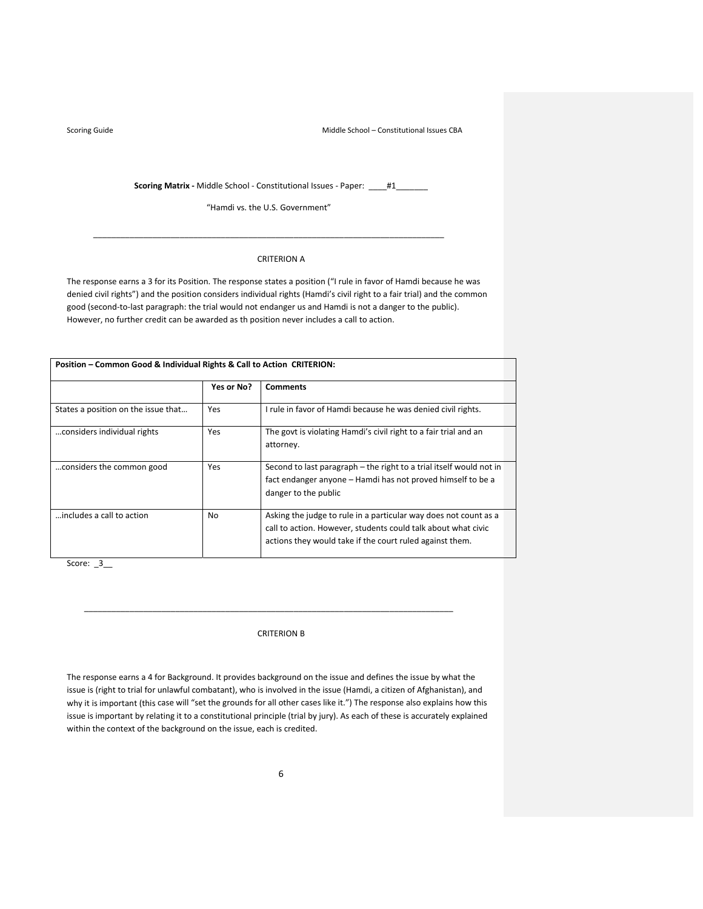**Scoring Matrix** - Middle School - Constitutional Issues - Paper: \_\_\_\_#1\_\_\_\_\_\_\_

"Hamdi vs. the U.S. Government"

\_\_\_\_\_\_\_\_\_\_\_\_\_\_\_\_\_\_\_\_\_\_\_\_\_\_\_\_\_\_\_\_\_\_\_\_\_\_\_\_\_\_\_\_\_\_\_\_\_\_\_\_\_\_\_\_\_\_\_\_\_\_\_\_\_\_\_\_\_\_\_\_\_\_\_\_\_

# CRITERION A

The response earns a 3 for its Position. The response states a position ("I rule in favor of Hamdi because he was denied civil rights") and the position considers individual rights (Hamdi's civil right to a fair trial) and the common good (second-to-last paragraph: the trial would not endanger us and Hamdi is not a danger to the public). However, no further credit can be awarded as th position never includes a call to action.

| Position - Common Good & Individual Rights & Call to Action CRITERION: |            |                                                                                                                                                                                               |  |
|------------------------------------------------------------------------|------------|-----------------------------------------------------------------------------------------------------------------------------------------------------------------------------------------------|--|
|                                                                        | Yes or No? | <b>Comments</b>                                                                                                                                                                               |  |
| States a position on the issue that                                    | Yes        | I rule in favor of Hamdi because he was denied civil rights.                                                                                                                                  |  |
| considers individual rights                                            | Yes        | The govt is violating Hamdi's civil right to a fair trial and an<br>attorney.                                                                                                                 |  |
| considers the common good                                              | Yes        | Second to last paragraph – the right to a trial itself would not in<br>fact endanger anyone – Hamdi has not proved himself to be a<br>danger to the public                                    |  |
| includes a call to action                                              | No         | Asking the judge to rule in a particular way does not count as a<br>call to action. However, students could talk about what civic<br>actions they would take if the court ruled against them. |  |

Score:  $\_3$ 

### CRITERION B

\_\_\_\_\_\_\_\_\_\_\_\_\_\_\_\_\_\_\_\_\_\_\_\_\_\_\_\_\_\_\_\_\_\_\_\_\_\_\_\_\_\_\_\_\_\_\_\_\_\_\_\_\_\_\_\_\_\_\_\_\_\_\_\_\_\_\_\_\_\_\_\_\_\_\_\_\_\_\_\_\_

The response earns a 4 for Background. It provides background on the issue and defines the issue by what the issue is (right to trial for unlawful combatant), who is involved in the issue (Hamdi, a citizen of Afghanistan), and why it is important (this case will "set the grounds for all other cases like it.") The response also explains how this issue is important by relating it to a constitutional principle (trial by jury). As each of these is accurately explained within the context of the background on the issue, each is credited.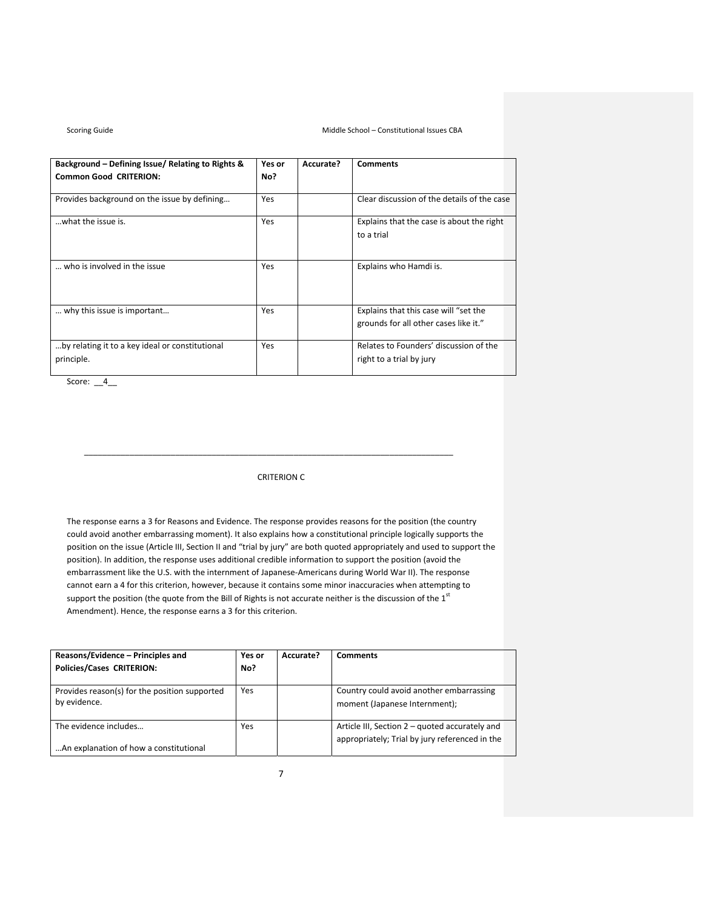| Background – Defining Issue/ Relating to Rights &<br><b>Common Good CRITERION:</b> | Yes or<br>No? | Accurate? | <b>Comments</b>                                                                |
|------------------------------------------------------------------------------------|---------------|-----------|--------------------------------------------------------------------------------|
|                                                                                    |               |           |                                                                                |
| Provides background on the issue by defining                                       | Yes           |           | Clear discussion of the details of the case                                    |
| what the issue is.                                                                 | Yes           |           | Explains that the case is about the right                                      |
|                                                                                    |               |           | to a trial                                                                     |
| who is involved in the issue                                                       | Yes           |           | Explains who Hamdi is.                                                         |
| why this issue is important                                                        | Yes           |           | Explains that this case will "set the<br>grounds for all other cases like it." |
| by relating it to a key ideal or constitutional                                    | Yes           |           | Relates to Founders' discussion of the                                         |
| principle.                                                                         |               |           | right to a trial by jury                                                       |

Score: 4

# CRITERION C

\_\_\_\_\_\_\_\_\_\_\_\_\_\_\_\_\_\_\_\_\_\_\_\_\_\_\_\_\_\_\_\_\_\_\_\_\_\_\_\_\_\_\_\_\_\_\_\_\_\_\_\_\_\_\_\_\_\_\_\_\_\_\_\_\_\_\_\_\_\_\_\_\_\_\_\_\_\_\_\_\_

The response earns a 3 for Reasons and Evidence. The response provides reasons for the position (the country could avoid another embarrassing moment). It also explains how a constitutional principle logically supports the position on the issue (Article III, Section II and "trial by jury" are both quoted appropriately and used to support the position). In addition, the response uses additional credible information to support the position (avoid the embarrassment like the U.S. with the internment of Japanese‐Americans during World War II). The response cannot earn a 4 for this criterion, however, because it contains some minor inaccuracies when attempting to support the position (the quote from the Bill of Rights is not accurate neither is the discussion of the  $1<sup>st</sup>$ Amendment). Hence, the response earns a 3 for this criterion.

| Reasons/Evidence – Principles and<br><b>Policies/Cases CRITERION:</b> | Yes or<br>No? | Accurate? | <b>Comments</b>                                                                                  |
|-----------------------------------------------------------------------|---------------|-----------|--------------------------------------------------------------------------------------------------|
| Provides reason(s) for the position supported<br>by evidence.         | Yes           |           | Country could avoid another embarrassing<br>moment (Japanese Internment);                        |
| The evidence includes<br>An explanation of how a constitutional       | Yes           |           | Article III, Section 2 – quoted accurately and<br>appropriately; Trial by jury referenced in the |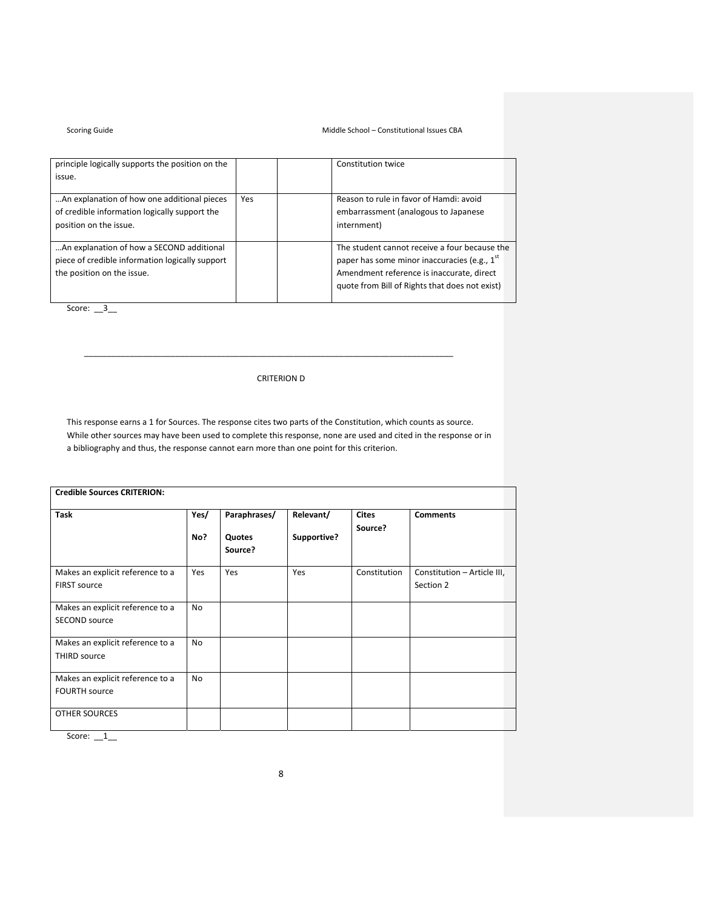## Scoring Guide **School** – Constitutional Issues CBA

| principle logically supports the position on the |     | Constitution twice                                       |
|--------------------------------------------------|-----|----------------------------------------------------------|
| issue.                                           |     |                                                          |
|                                                  |     |                                                          |
| An explanation of how one additional pieces      | Yes | Reason to rule in favor of Hamdi: avoid                  |
| of credible information logically support the    |     | embarrassment (analogous to Japanese                     |
| position on the issue.                           |     | internment)                                              |
|                                                  |     |                                                          |
| An explanation of how a SECOND additional        |     | The student cannot receive a four because the            |
| piece of credible information logically support  |     | paper has some minor inaccuracies (e.g., 1 <sup>st</sup> |
| the position on the issue.                       |     | Amendment reference is inaccurate, direct                |
|                                                  |     | quote from Bill of Rights that does not exist)           |
|                                                  |     |                                                          |

Score: \_\_3\_

CRITERION D

\_\_\_\_\_\_\_\_\_\_\_\_\_\_\_\_\_\_\_\_\_\_\_\_\_\_\_\_\_\_\_\_\_\_\_\_\_\_\_\_\_\_\_\_\_\_\_\_\_\_\_\_\_\_\_\_\_\_\_\_\_\_\_\_\_\_\_\_\_\_\_\_\_\_\_\_\_\_\_\_\_

This response earns a 1 for Sources. The response cites two parts of the Constitution, which counts as source. While other sources may have been used to complete this response, none are used and cited in the response or in a bibliography and thus, the response cannot earn more than one point for this criterion.

| <b>Task</b>                                              | Yes/<br>No? | Paraphrases/<br>Quotes<br>Source? | Relevant/<br>Supportive? | <b>Cites</b><br>Source? | <b>Comments</b>                          |
|----------------------------------------------------------|-------------|-----------------------------------|--------------------------|-------------------------|------------------------------------------|
| Makes an explicit reference to a<br><b>FIRST source</b>  | Yes         | Yes                               | Yes                      | Constitution            | Constitution - Article III,<br>Section 2 |
| Makes an explicit reference to a<br><b>SECOND source</b> | No          |                                   |                          |                         |                                          |
| Makes an explicit reference to a<br><b>THIRD source</b>  | <b>No</b>   |                                   |                          |                         |                                          |
| Makes an explicit reference to a<br><b>FOURTH source</b> | <b>No</b>   |                                   |                          |                         |                                          |
| <b>OTHER SOURCES</b>                                     |             |                                   |                          |                         |                                          |

Score:  $_1$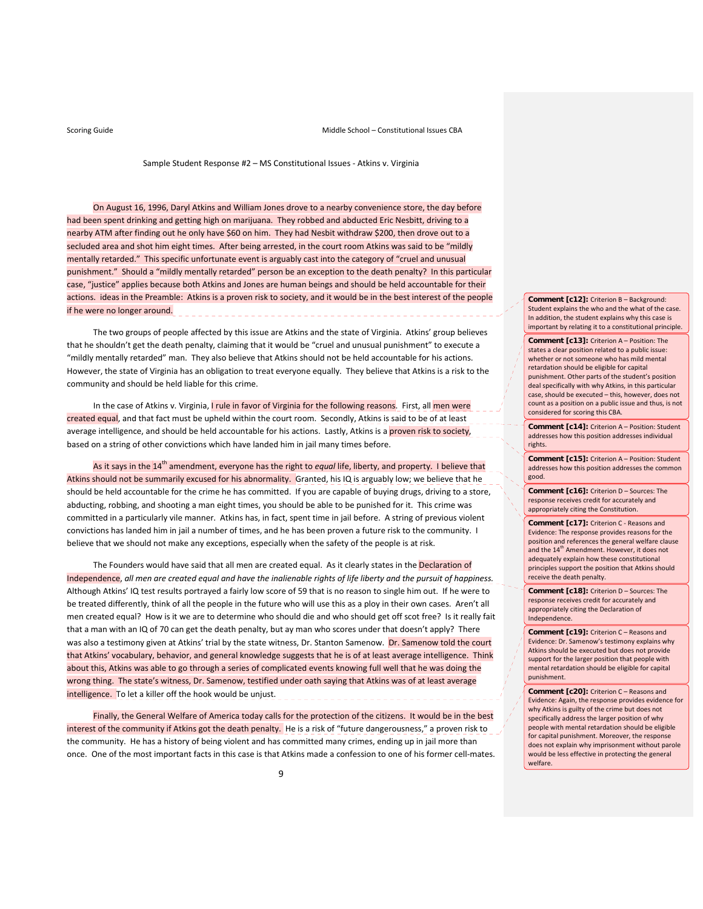Sample Student Response #2 – MS Constitutional Issues ‐ Atkins v. Virginia

On August 16, 1996, Daryl Atkins and William Jones drove to a nearby convenience store, the day before had been spent drinking and getting high on marijuana. They robbed and abducted Eric Nesbitt, driving to a nearby ATM after finding out he only have \$60 on him. They had Nesbit withdraw \$200, then drove out to a secluded area and shot him eight times. After being arrested, in the court room Atkins was said to be "mildly mentally retarded." This specific unfortunate event is arguably cast into the category of "cruel and unusual punishment." Should a "mildly mentally retarded" person be an exception to the death penalty? In this particular case, "justice" applies because both Atkins and Jones are human beings and should be held accountable for their actions. ideas in the Preamble: Atkins is a proven risk to society, and it would be in the best interest of the people if he were no longer around. \_\_\_\_\_\_\_\_\_\_\_\_\_\_\_\_\_\_\_\_\_\_\_\_\_\_\_\_\_\_

The two groups of people affected by this issue are Atkins and the state of Virginia. Atkins' group believes that he shouldn't get the death penalty, claiming that it would be "cruel and unusual punishment" to execute a "mildly mentally retarded" man. They also believe that Atkins should not be held accountable for his actions. However, the state of Virginia has an obligation to treat everyone equally. They believe that Atkins is a risk to the community and should be held liable for this crime.

In the case of Atkins v. Virginia, *I rule in favor of Virginia for the following reasons.* First, all *men were* created equal, and that fact must be upheld within the court room. Secondly, Atkins is said to be of at least average intelligence, and should be held accountable for his actions. Lastly, Atkins is a proven risk to society, based on a string of other convictions which have landed him in jail many times before.

As it says in the 14<sup>th</sup> amendment, everyone has the right to *equal* life, liberty, and property. I believe that Atkins should not be summarily excused for his abnormality. Granted, his IQ is arguably low; we believe that he should be held accountable for the crime he has committed. If you are capable of buying drugs, driving to a store, abducting, robbing, and shooting a man eight times, you should be able to be punished for it. This crime was committed in a particularly vile manner. Atkins has, in fact, spent time in jail before. A string of previous violent convictions has landed him in jail a number of times, and he has been proven a future risk to the community. I believe that we should not make any exceptions, especially when the safety of the people is at risk.

The Founders would have said that all men are created equal. As it clearly states in the Declaration of Independence, all men are created equal and have the inalienable rights of life liberty and the pursuit of happiness. Although Atkins' IQ test results portrayed a fairly low score of 59 that is no reason to single him out. If he were to be treated differently, think of all the people in the future who will use this as a ploy in their own cases. Aren't all men created equal? How is it we are to determine who should die and who should get off scot free? Is it really fait that a man with an IQ of 70 can get the death penalty, but ay man who scores under that doesn't apply? There was also a testimony given at Atkins' trial by the state witness, Dr. Stanton Samenow. Dr. Samenow told the court that Atkins' vocabulary, behavior, and general knowledge suggests that he is of at least average intelligence. Think about this, Atkins was able to go through a series of complicated events knowing full well that he was doing the wrong thing. The state's witness, Dr. Samenow, testified under oath saying that Atkins was of at least average intelligence. To let a killer off the hook would be unjust.

Finally, the General Welfare of America today calls for the protection of the citizens. It would be in the best interest of the community if Atkins got the death penalty. He is a risk of "future dangerousness," a proven risk to the community. He has a history of being violent and has committed many crimes, ending up in jail more than once. One of the most important facts in this case is that Atkins made a confession to one of his former cell-mates. **Comment [c12]:** Criterion B – Background: Student explains the who and the what of the case. In addition, the student explains why this case is important by relating it to a constitutional principle.

**Comment [c13]:** Criterion A – Position: The states a clear position related to a public issue: whether or not someone who has mild mental retardation should be eligible for capital punishment. Other parts of the student's position deal specifically with why Atkins, in this particular case, should be executed – this, however, does not count as a position on a public issue and thus, is not considered for scoring this CBA.

**Comment [c14]:** Criterion A – Position: Student addresses how this position addresses individual rights.

**Comment [c15]:** Criterion A – Position: Student addresses how this position addresses the common good.

**Comment [c16]:** Criterion D – Sources: The response receives credit for accurately and appropriately citing the Constitution.

**Comment [c17]:** Criterion C ‐ Reasons and Evidence: The response provides reasons for the position and references the general welfare clause and the  $14^{\text{th}}$  Amendment. However, it does not adequately explain how these constitutional principles support the position that Atkins should receive the death penalty.

**Comment [c18]:** Criterion D – Sources: The response receives credit for accurately and appropriately citing the Declaration of Independence.

**Comment [c19]:** Criterion C – Reasons and Evidence: Dr. Samenow's testimony explains why Atkins should be executed but does not provide support for the larger position that people with mental retardation should be eligible for capital punishment.

**Comment [c20]:** Criterion C – Reasons and Evidence: Again, the response provides evidence for why Atkins is guilty of the crime but does not specifically address the larger position of why people with mental retardation should be eligible for capital punishment. Moreover, the response does not explain why imprisonment without parole would be less effective in protecting the general welfare.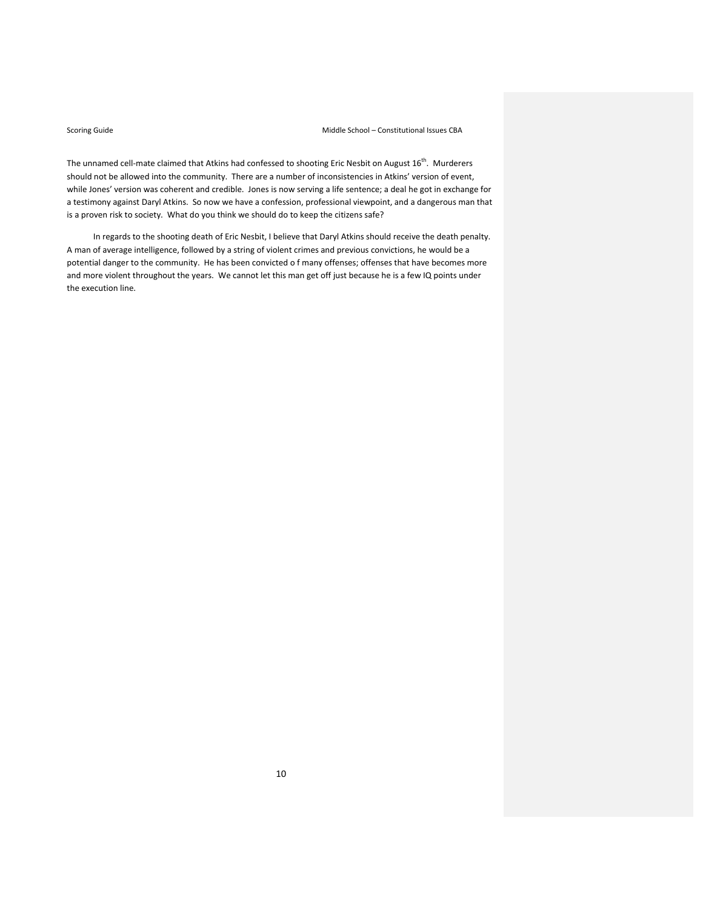The unnamed cell-mate claimed that Atkins had confessed to shooting Eric Nesbit on August 16<sup>th</sup>. Murderers should not be allowed into the community. There are a number of inconsistencies in Atkins' version of event, while Jones' version was coherent and credible. Jones is now serving a life sentence; a deal he got in exchange for a testimony against Daryl Atkins. So now we have a confession, professional viewpoint, and a dangerous man that is a proven risk to society. What do you think we should do to keep the citizens safe?

In regards to the shooting death of Eric Nesbit, I believe that Daryl Atkins should receive the death penalty. A man of average intelligence, followed by a string of violent crimes and previous convictions, he would be a potential danger to the community. He has been convicted o f many offenses; offenses that have becomes more and more violent throughout the years. We cannot let this man get off just because he is a few IQ points under the execution line.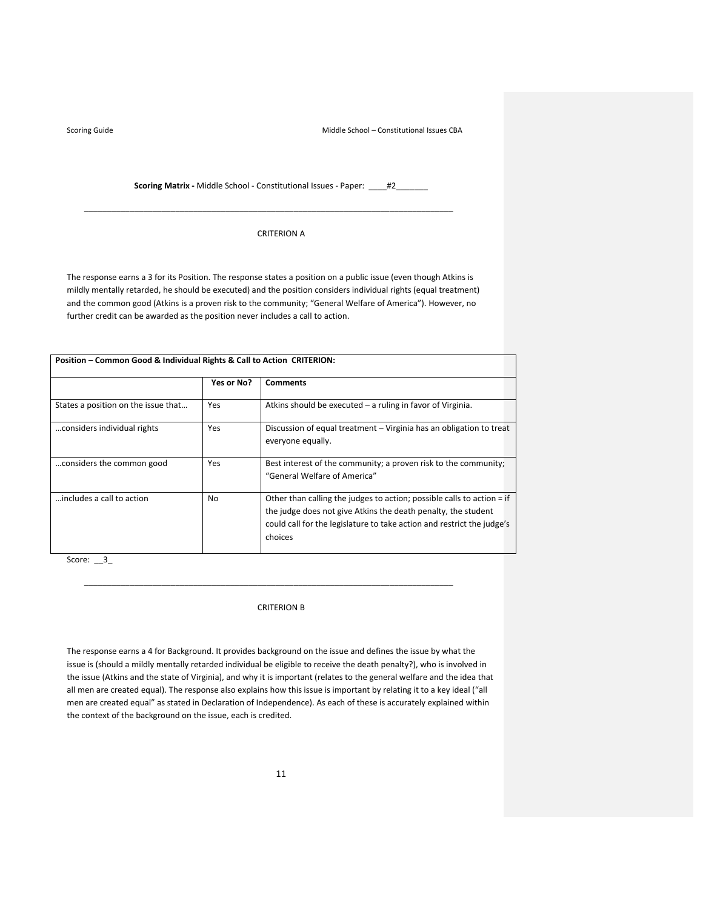**Scoring Matrix** - Middle School - Constitutional Issues - Paper: \_\_\_\_#2\_

\_\_\_\_\_\_\_\_\_\_\_\_\_\_\_\_\_\_\_\_\_\_\_\_\_\_\_\_\_\_\_\_\_\_\_\_\_\_\_\_\_\_\_\_\_\_\_\_\_\_\_\_\_\_\_\_\_\_\_\_\_\_\_\_\_\_\_\_\_\_\_\_\_\_\_\_\_\_\_\_\_

### CRITERION A

The response earns a 3 for its Position. The response states a position on a public issue (even though Atkins is mildly mentally retarded, he should be executed) and the position considers individual rights (equal treatment) and the common good (Atkins is a proven risk to the community; "General Welfare of America"). However, no further credit can be awarded as the position never includes a call to action.

| Position – Common Good & Individual Rights & Call to Action CRITERION: |            |                                                                                                                                                                                                                              |  |  |  |
|------------------------------------------------------------------------|------------|------------------------------------------------------------------------------------------------------------------------------------------------------------------------------------------------------------------------------|--|--|--|
|                                                                        | Yes or No? | <b>Comments</b>                                                                                                                                                                                                              |  |  |  |
| States a position on the issue that                                    | Yes        | Atkins should be executed – a ruling in favor of Virginia.                                                                                                                                                                   |  |  |  |
| considers individual rights                                            | Yes        | Discussion of equal treatment – Virginia has an obligation to treat<br>everyone equally.                                                                                                                                     |  |  |  |
| considers the common good                                              | Yes        | Best interest of the community; a proven risk to the community;<br>"General Welfare of America"                                                                                                                              |  |  |  |
| includes a call to action                                              | No         | Other than calling the judges to action; possible calls to action = if<br>the judge does not give Atkins the death penalty, the student<br>could call for the legislature to take action and restrict the judge's<br>choices |  |  |  |

Score: \_\_3\_

## CRITERION B

\_\_\_\_\_\_\_\_\_\_\_\_\_\_\_\_\_\_\_\_\_\_\_\_\_\_\_\_\_\_\_\_\_\_\_\_\_\_\_\_\_\_\_\_\_\_\_\_\_\_\_\_\_\_\_\_\_\_\_\_\_\_\_\_\_\_\_\_\_\_\_\_\_\_\_\_\_\_\_\_\_

The response earns a 4 for Background. It provides background on the issue and defines the issue by what the issue is (should a mildly mentally retarded individual be eligible to receive the death penalty?), who is involved in the issue (Atkins and the state of Virginia), and why it is important (relates to the general welfare and the idea that all men are created equal). The response also explains how this issue is important by relating it to a key ideal ("all men are created equal" as stated in Declaration of Independence). As each of these is accurately explained within the context of the background on the issue, each is credited.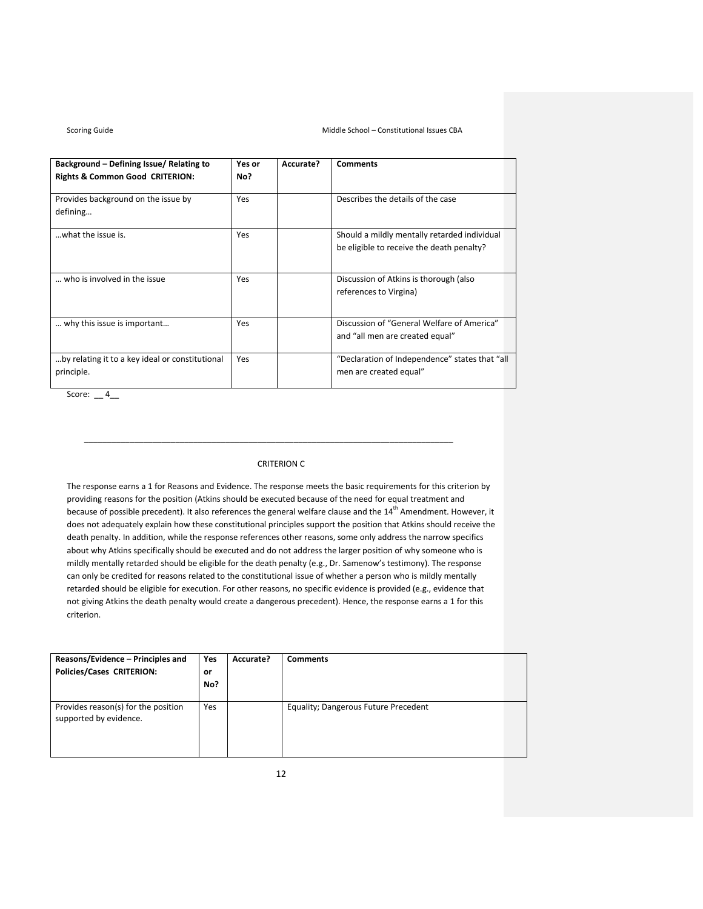| Background - Defining Issue/ Relating to<br><b>Rights &amp; Common Good CRITERION:</b> | Yes or<br>No? | Accurate? | <b>Comments</b>                                                                           |
|----------------------------------------------------------------------------------------|---------------|-----------|-------------------------------------------------------------------------------------------|
| Provides background on the issue by<br>defining                                        | <b>Yes</b>    |           | Describes the details of the case                                                         |
| what the issue is.                                                                     | Yes           |           | Should a mildly mentally retarded individual<br>be eligible to receive the death penalty? |
| who is involved in the issue                                                           | <b>Yes</b>    |           | Discussion of Atkins is thorough (also<br>references to Virgina)                          |
| why this issue is important                                                            | Yes           |           | Discussion of "General Welfare of America"<br>and "all men are created equal"             |
| by relating it to a key ideal or constitutional<br>principle.                          | Yes           |           | "Declaration of Independence" states that "all<br>men are created equal"                  |

Score:  $-4$ 

## CRITERION C

\_\_\_\_\_\_\_\_\_\_\_\_\_\_\_\_\_\_\_\_\_\_\_\_\_\_\_\_\_\_\_\_\_\_\_\_\_\_\_\_\_\_\_\_\_\_\_\_\_\_\_\_\_\_\_\_\_\_\_\_\_\_\_\_\_\_\_\_\_\_\_\_\_\_\_\_\_\_\_\_\_

The response earns a 1 for Reasons and Evidence. The response meets the basic requirements for this criterion by providing reasons for the position (Atkins should be executed because of the need for equal treatment and because of possible precedent). It also references the general welfare clause and the 14<sup>th</sup> Amendment. However, it does not adequately explain how these constitutional principles support the position that Atkins should receive the death penalty. In addition, while the response references other reasons, some only address the narrow specifics about why Atkins specifically should be executed and do not address the larger position of why someone who is mildly mentally retarded should be eligible for the death penalty (e.g., Dr. Samenow's testimony). The response can only be credited for reasons related to the constitutional issue of whether a person who is mildly mentally retarded should be eligible for execution. For other reasons, no specific evidence is provided (e.g., evidence that not giving Atkins the death penalty would create a dangerous precedent). Hence, the response earns a 1 for this criterion.

| Reasons/Evidence - Principles and<br><b>Policies/Cases CRITERION:</b> | Yes<br>or<br>No? | Accurate? | <b>Comments</b>                      |
|-----------------------------------------------------------------------|------------------|-----------|--------------------------------------|
| Provides reason(s) for the position<br>supported by evidence.         | Yes              |           | Equality; Dangerous Future Precedent |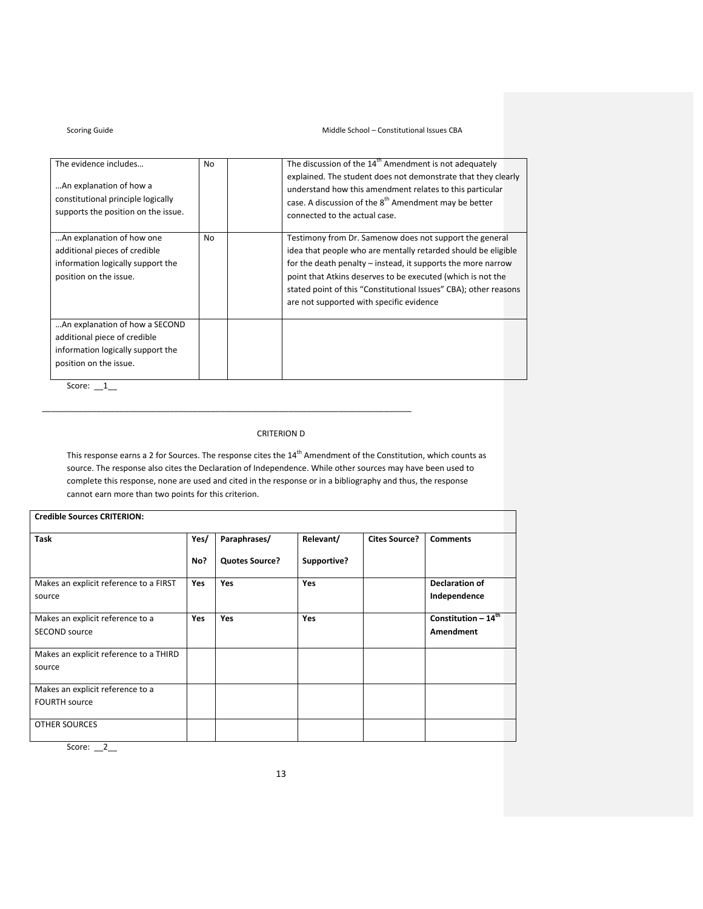## Scoring Guide **School** – Constitutional Issues CBA

| The evidence includes<br>An explanation of how a<br>constitutional principle logically<br>supports the position on the issue. | No  | The discussion of the 14 <sup>th</sup> Amendment is not adequately<br>explained. The student does not demonstrate that they clearly<br>understand how this amendment relates to this particular<br>case. A discussion of the 8 <sup>th</sup> Amendment may be better<br>connected to the actual case.                                                                   |
|-------------------------------------------------------------------------------------------------------------------------------|-----|-------------------------------------------------------------------------------------------------------------------------------------------------------------------------------------------------------------------------------------------------------------------------------------------------------------------------------------------------------------------------|
| An explanation of how one<br>additional pieces of credible<br>information logically support the<br>position on the issue.     | No. | Testimony from Dr. Samenow does not support the general<br>idea that people who are mentally retarded should be eligible<br>for the death penalty - instead, it supports the more narrow<br>point that Atkins deserves to be executed (which is not the<br>stated point of this "Constitutional Issues" CBA); other reasons<br>are not supported with specific evidence |
| An explanation of how a SECOND<br>additional piece of credible<br>information logically support the<br>position on the issue. |     |                                                                                                                                                                                                                                                                                                                                                                         |

Score:  $_1$ 

# CRITERION D

\_\_\_\_\_\_\_\_\_\_\_\_\_\_\_\_\_\_\_\_\_\_\_\_\_\_\_\_\_\_\_\_\_\_\_\_\_\_\_\_\_\_\_\_\_\_\_\_\_\_\_\_\_\_\_\_\_\_\_\_\_\_\_\_\_\_\_\_\_\_\_\_\_\_\_\_\_\_\_\_\_

This response earns a 2 for Sources. The response cites the  $14^{th}$  Amendment of the Constitution, which counts as source. The response also cites the Declaration of Independence. While other sources may have been used to complete this response, none are used and cited in the response or in a bibliography and thus, the response cannot earn more than two points for this criterion.

| <b>Credible Sources CRITERION:</b>     |            |                       |             |                      |                                |
|----------------------------------------|------------|-----------------------|-------------|----------------------|--------------------------------|
| <b>Task</b>                            | Yes/       | Paraphrases/          | Relevant/   | <b>Cites Source?</b> | <b>Comments</b>                |
|                                        | No?        | <b>Quotes Source?</b> | Supportive? |                      |                                |
| Makes an explicit reference to a FIRST | <b>Yes</b> | <b>Yes</b>            | <b>Yes</b>  |                      | Declaration of                 |
| source                                 |            |                       |             |                      | Independence                   |
| Makes an explicit reference to a       | <b>Yes</b> | <b>Yes</b>            | <b>Yes</b>  |                      | Constitution $-14^{\text{th}}$ |
| <b>SECOND source</b>                   |            |                       |             |                      | Amendment                      |
| Makes an explicit reference to a THIRD |            |                       |             |                      |                                |
| source                                 |            |                       |             |                      |                                |
| Makes an explicit reference to a       |            |                       |             |                      |                                |
| <b>FOURTH source</b>                   |            |                       |             |                      |                                |
| <b>OTHER SOURCES</b>                   |            |                       |             |                      |                                |

Score:  $2$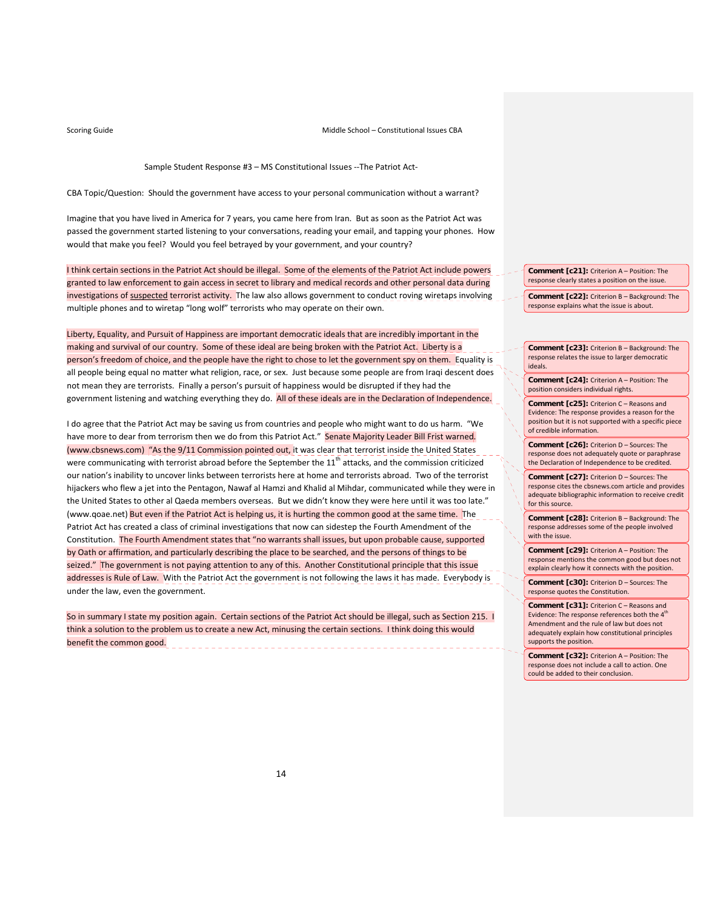Sample Student Response #3 – MS Constitutional Issues ‐‐The Patriot Act‐

CBA Topic/Question: Should the government have access to your personal communication without a warrant?

Imagine that you have lived in America for 7 years, you came here from Iran. But as soon as the Patriot Act was passed the government started listening to your conversations, reading your email, and tapping your phones. How would that make you feel? Would you feel betrayed by your government, and your country?

I think certain sections in the Patriot Act should be illegal. Some of the elements of the Patriot Act include powers granted to law enforcement to gain access in secret to library and medical records and other personal data during investigations of suspected terrorist activity. The law also allows government to conduct roving wiretaps involving multiple phones and to wiretap "long wolf" terrorists who may operate on their own.

Liberty, Equality, and Pursuit of Happiness are important democratic ideals that are incredibly important in the making and survival of our country. Some of these ideal are being broken with the Patriot Act. Liberty is a person's freedom of choice, and the people have the right to chose to let the government spy on them. Equality is all people being equal no matter what religion, race, or sex. Just because some people are from Iraqi descent does not mean they are terrorists. Finally a person's pursuit of happiness would be disrupted if they had the government listening and watching everything they do. All of these ideals are in the Declaration of Independence.

I do agree that the Patriot Act may be saving us from countries and people who might want to do us harm. "We have more to dear from terrorism then we do from this Patriot Act." Senate Majority Leader Bill Frist warned. (www.cbsnews.com) "As the 9/11 Commission pointed out, it was clear that terrorist inside the United States were communicating with terrorist abroad before the September the  $11<sup>th</sup>$  attacks, and the commission criticized our nation's inability to uncover links between terrorists here at home and terrorists abroad. Two of the terrorist hijackers who flew a jet into the Pentagon, Nawaf al Hamzi and Khalid al Mihdar, communicated while they were in the United States to other al Qaeda members overseas. But we didn't know they were here until it was too late." (www.qoae.net) But even if the Patriot Act is helping us, it is hurting the common good at the same time. The Patriot Act has created a class of criminal investigations that now can sidestep the Fourth Amendment of the Constitution. The Fourth Amendment states that "no warrants shall issues, but upon probable cause, supported by Oath or affirmation, and particularly describing the place to be searched, and the persons of things to be seized." The government is not paying attention to any of this. Another Constitutional principle that this issue addresses is Rule of Law. With the Patriot Act the government is not following the laws it has made. Everybody is under the law, even the government.

So in summary I state my position again. Certain sections of the Patriot Act should be illegal, such as Section 215. I think a solution to the problem us to create a new Act, minusing the certain sections. I think doing this would benefit the common good.

**Comment [c21]:** Criterion A – Position: The response clearly states a position on the issue.

**Comment [c22]:** Criterion B – Background: The response explains what the issue is about.

**Comment [c23]:** Criterion B – Background: The response relates the issue to larger democratic ideals.

**Comment [c24]:** Criterion A – Position: The position considers individual rights.

**Comment [c25]:** Criterion C – Reasons and Evidence: The response provides a reason for the position but it is not supported with a specific piece of credible information.

**Comment [c26]:** Criterion D – Sources: The response does not adequately quote or paraphrase the Declaration of Independence to be credited.

**Comment [c27]:** Criterion D – Sources: The response cites the cbsnews.com article and provides adequate bibliographic information to receive credit for this source.

**Comment [c28]:** Criterion B – Background: The response addresses some of the people involved with the issue.

**Comment [c29]:** Criterion A – Position: The response mentions the common good but does not explain clearly how it connects with the position.

**Comment [c30]:** Criterion D – Sources: The response quotes the Constitution.

**Comment [c31]:** Criterion C – Reasons and Evidence: The response references both the  $\boldsymbol{4}^{\text{th}}$ Amendment and the rule of law but does not adequately explain how constitutional principles supports the position.

**Comment [c32]:** Criterion A – Position: The response does not include a call to action. One could be added to their conclusion.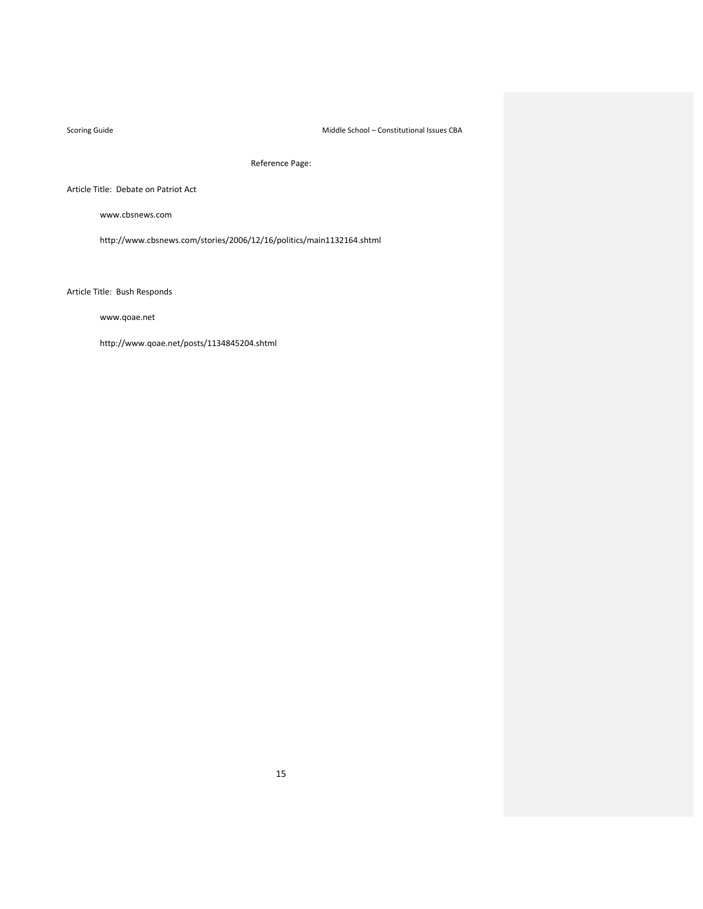Scoring Guide **School** – Constitutional Issues CBA

Reference Page:

Article Title: Debate on Patriot Act

www.cbsnews.com

http://www.cbsnews.com/stories/2006/12/16/politics/main1132164.shtml

Article Title: Bush Responds

www.qoae.net

http://www.qoae.net/posts/1134845204.shtml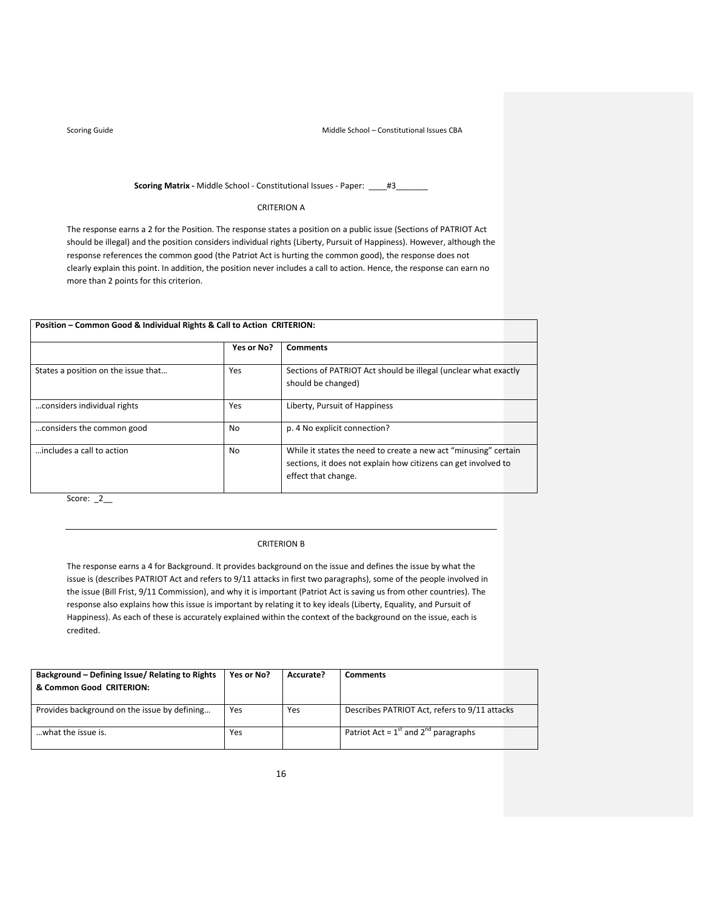## **Scoring Matrix** - Middle School - Constitutional Issues - Paper: \_\_\_\_#3\_

## CRITERION A

The response earns a 2 for the Position. The response states a position on a public issue (Sections of PATRIOT Act should be illegal) and the position considers individual rights (Liberty, Pursuit of Happiness). However, although the response references the common good (the Patriot Act is hurting the common good), the response does not clearly explain this point. In addition, the position never includes a call to action. Hence, the response can earn no more than 2 points for this criterion.

| Position – Common Good & Individual Rights & Call to Action CRITERION: |            |                                                                                                                                                          |  |
|------------------------------------------------------------------------|------------|----------------------------------------------------------------------------------------------------------------------------------------------------------|--|
|                                                                        | Yes or No? | <b>Comments</b>                                                                                                                                          |  |
| States a position on the issue that                                    | Yes        | Sections of PATRIOT Act should be illegal (unclear what exactly<br>should be changed)                                                                    |  |
| considers individual rights                                            | Yes        | Liberty, Pursuit of Happiness                                                                                                                            |  |
| considers the common good                                              | No.        | p. 4 No explicit connection?                                                                                                                             |  |
| includes a call to action                                              | <b>No</b>  | While it states the need to create a new act "minusing" certain<br>sections, it does not explain how citizens can get involved to<br>effect that change. |  |

Score: \_2\_\_

# CRITERION B

The response earns a 4 for Background. It provides background on the issue and defines the issue by what the issue is (describes PATRIOT Act and refers to 9/11 attacks in first two paragraphs), some of the people involved in the issue (Bill Frist, 9/11 Commission), and why it is important (Patriot Act is saving us from other countries). The response also explains how this issue is important by relating it to key ideals (Liberty, Equality, and Pursuit of Happiness). As each of these is accurately explained within the context of the background on the issue, each is credited.

| Background - Defining Issue/ Relating to Rights<br>& Common Good CRITERION: | Yes or No? | Accurate? | Comments                                       |
|-----------------------------------------------------------------------------|------------|-----------|------------------------------------------------|
| Provides background on the issue by defining                                | Yes        | Yes       | Describes PATRIOT Act, refers to 9/11 attacks  |
| what the issue is.                                                          | Yes        |           | Patriot Act = $1^{st}$ and $2^{nd}$ paragraphs |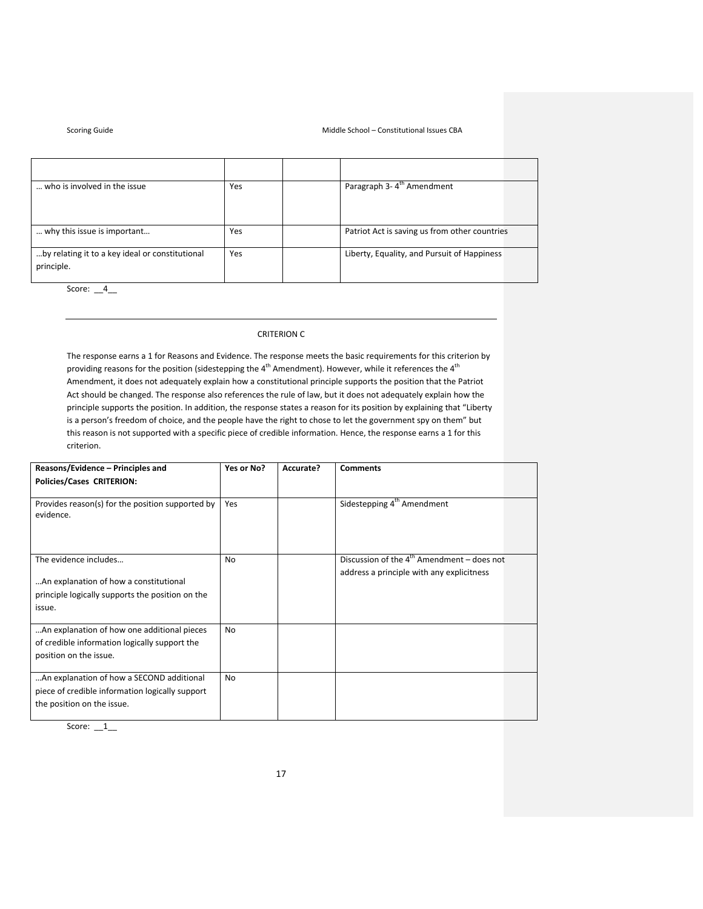### Middle School – Constitutional Issues CBA

| <b>Scoring Guide</b> |  |
|----------------------|--|
|                      |  |

| who is involved in the issue                                  | Yes | Paragraph 3-4 <sup>th</sup> Amendment         |
|---------------------------------------------------------------|-----|-----------------------------------------------|
|                                                               |     |                                               |
| why this issue is important                                   | Yes | Patriot Act is saving us from other countries |
| by relating it to a key ideal or constitutional<br>principle. | Yes | Liberty, Equality, and Pursuit of Happiness   |
|                                                               |     |                                               |

Score: \_\_4\_\_

# CRITERION C

The response earns a 1 for Reasons and Evidence. The response meets the basic requirements for this criterion by providing reasons for the position (sidestepping the  $4^{th}$  Amendment). However, while it references the  $4^{th}$ Amendment, it does not adequately explain how a constitutional principle supports the position that the Patriot Act should be changed. The response also references the rule of law, but it does not adequately explain how the principle supports the position. In addition, the response states a reason for its position by explaining that "Liberty is a person's freedom of choice, and the people have the right to chose to let the government spy on them" but this reason is not supported with a specific piece of credible information. Hence, the response earns a 1 for this criterion.

| Reasons/Evidence - Principles and                                                                                             | Yes or No?     | Accurate? | <b>Comments</b>                                                                                     |
|-------------------------------------------------------------------------------------------------------------------------------|----------------|-----------|-----------------------------------------------------------------------------------------------------|
| <b>Policies/Cases CRITERION:</b>                                                                                              |                |           |                                                                                                     |
| Provides reason(s) for the position supported by<br>evidence.                                                                 | Yes            |           | Sidestepping 4 <sup>th</sup> Amendment                                                              |
| The evidence includes<br>An explanation of how a constitutional<br>principle logically supports the position on the<br>issue. | <b>No</b>      |           | Discussion of the $4^{\text{th}}$ Amendment – does not<br>address a principle with any explicitness |
| An explanation of how one additional pieces<br>of credible information logically support the<br>position on the issue.        | N <sub>0</sub> |           |                                                                                                     |
| An explanation of how a SECOND additional<br>piece of credible information logically support<br>the position on the issue.    | No             |           |                                                                                                     |

Score: \_\_1\_\_